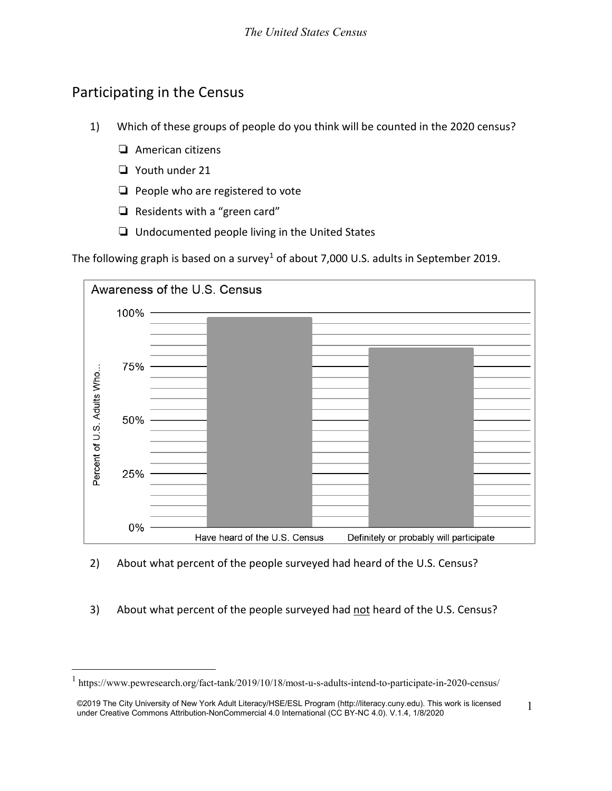## Participating in the Census

- 1) Which of these groups of people do you think will be counted in the 2020 census?
	- ❏ American citizens
	- ❏ Youth under 21
	- ❏ People who are registered to vote
	- ❏ Residents with a "green card"
	- ❏ Undocumented people living in the United States

The following graph is based on a survey<sup>[1](#page-0-0)</sup> of about 7,000 U.S. adults in September 2019.



- 2) About what percent of the people surveyed had heard of the U.S. Census?
- 3) About what percent of the people surveyed had not heard of the U.S. Census?

<span id="page-0-0"></span> <sup>1</sup> https://www.pewresearch.org/fact-tank/2019/10/18/most-u-s-adults-intend-to-participate-in-2020-census/

<sup>©2019</sup> The City University of New York Adult Literacy/HSE/ESL Program [\(http://literacy.cuny.edu\)](http://literacy.cuny.edu/). This work is licensed ©2019 The City University of New York Adult Literacy/HSE/ESL Program (http://literacy.cuny.edu). This work is licensed [15] under Creative Commons Attribution-NonCommercial 4.0 International (CC BY-NC 4.0). V.1.4, 1/8/2020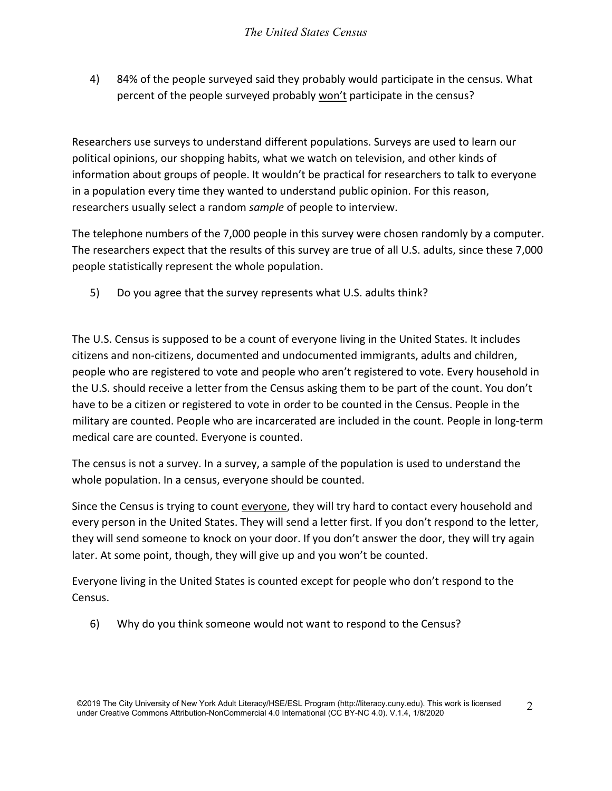4) 84% of the people surveyed said they probably would participate in the census. What percent of the people surveyed probably won't participate in the census?

Researchers use surveys to understand different populations. Surveys are used to learn our political opinions, our shopping habits, what we watch on television, and other kinds of information about groups of people. It wouldn't be practical for researchers to talk to everyone in a population every time they wanted to understand public opinion. For this reason, researchers usually select a random *sample* of people to interview.

The telephone numbers of the 7,000 people in this survey were chosen randomly by a computer. The researchers expect that the results of this survey are true of all U.S. adults, since these 7,000 people statistically represent the whole population.

5) Do you agree that the survey represents what U.S. adults think?

The U.S. Census is supposed to be a count of everyone living in the United States. It includes citizens and non-citizens, documented and undocumented immigrants, adults and children, people who are registered to vote and people who aren't registered to vote. Every household in the U.S. should receive a letter from the Census asking them to be part of the count. You don't have to be a citizen or registered to vote in order to be counted in the Census. People in the military are counted. People who are incarcerated are included in the count. People in long-term medical care are counted. Everyone is counted.

The census is not a survey. In a survey, a sample of the population is used to understand the whole population. In a census, everyone should be counted.

Since the Census is trying to count everyone, they will try hard to contact every household and every person in the United States. They will send a letter first. If you don't respond to the letter, they will send someone to knock on your door. If you don't answer the door, they will try again later. At some point, though, they will give up and you won't be counted.

Everyone living in the United States is counted except for people who don't respond to the Census.

6) Why do you think someone would not want to respond to the Census?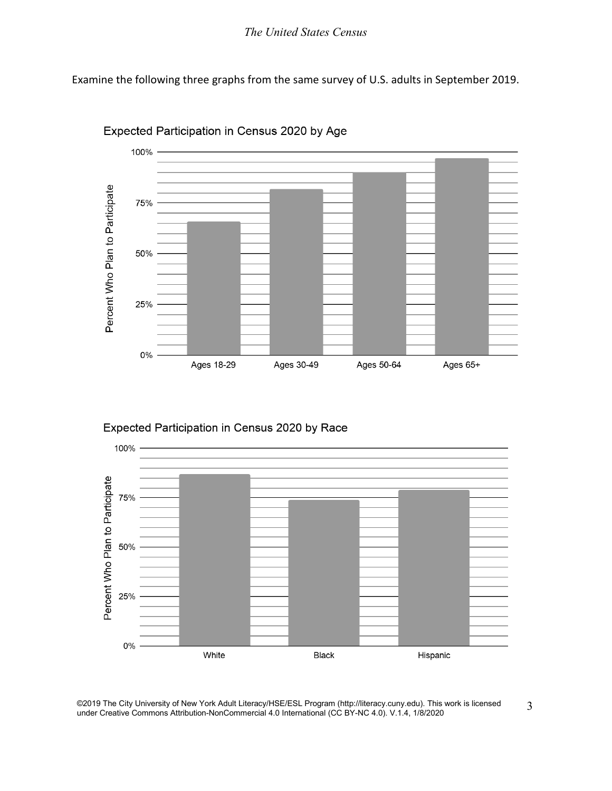## *The United States Census*

Examine the following three graphs from the same survey of U.S. adults in September 2019.



Expected Participation in Census 2020 by Age

Expected Participation in Census 2020 by Race



©2019 The City University of New York Adult Literacy/HSE/ESL Program [\(http://literacy.cuny.edu\)](http://literacy.cuny.edu/). This work is licensed ©2019 The City University of New York Adult Literacy/HSE/ESL Program (http://literacy.cuny.edu). This work is licensed 3<br>under Creative Commons Attribution-NonCommercial 4.0 International (CC BY-NC 4.0). V.1.4, 1/8/2020